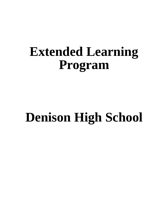# **Extended Learning Program**

# **Denison High School**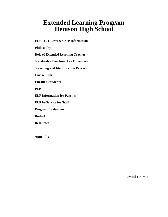# **Extended Learning Program Denison High School**

**ELP - G/T Laws & CSIP Information**

**Philosophy**

**Role of Extended Learning Teacher**

**Standards - Benchmarks - Objectives**

**Screening and Identification Process**

**Curriculum**

**Enrolled Students**

**PEP**

**ELP Information for Parents**

**ELP In-Service for Staff**

**Program Evaluation**

**Budget**

**Resources**

**Appendix**

Revised 11/07/01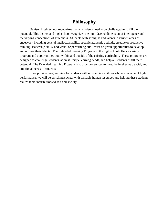## **Philosophy**

Denison High School recognizes that all students need to be challenged to fulfill their potential. This district and high school recognizes the multifaceted dimension of intelligence and the varying conceptions of giftedness. Students with strengths and talents in various areas of endeavor - including general intellectual ability, specific academic aptitude, creative or productive thinking, leadership skills, and visual or performing arts - must be given opportunities to develop and nurture their talents. The Extended Learning Program in the high school offers a variety of program and opportunities both within and outside of the existing curriculum. These programs are designed to challenge students, address unique learning needs, and help all students fulfill their potential. The Extended Learning Program is to provide services to meet the intellectual, social, and emotional needs of students.

If we provide programming for students with outstanding abilities who are capable of high performance, we will be enriching society with valuable human resources and helping these students realize their contributions to self and society.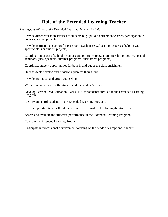## **Role of the Extended Learning Teacher**

*The responsibilities of the Extended Learning Teacher include:*

- Provide direct education services to students (e.g., pullout enrichment classes, participation in contests, special projects).
- Provide instructional support for classroom teachers (e.g., locating resources, helping with specific class or student projects).
- Coordination of out of school resources and programs (e.g., apprenticeship programs, special seminars, guest speakers, summer programs, enrichment programs).
- Coordinate student opportunities for both in and out of the class enrichment.
- Help students develop and envision a plan for their future.
- Provide individual and group counseling.
- Work as an advocate for the student and the student's needs.
- Develop Personalized Education Plans (PEP) for students enrolled in the Extended Learning Program.
- Identify and enroll students in the Extended Learning Program.
- Provide opportunities for the student's family to assist in developing the student's PEP.
- Assess and evaluate the student's performance in the Extended Learning Program.
- Evaluate the Extended Learning Program.
- Participate in professional development focusing on the needs of exceptional children.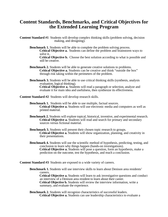## **Content Standards, Benchmarks, and Critical Objectives for the Extended Learning Program**

- **Content Standard #1** Students will develop complex thinking skills (problem solving, decision making, and designing).
	- **Benchmark 1.** Students will be able to complete the problem solving process. **Critical Objective a.** Students can define the problem and brainstorm ways to solve it..

**Critical Objective b.** Choose the best solution according to what is possible and still be creative.

**Benchmark 2.** Students will be able to generate creative solutions to problems. **Critical Objective a.** Students can be creative and think "outside the box" through risk taking within the perimeters of the problem.

**Benchmark 3.** Students will be able to use critical thinking skills (synthesis, analysis evaluation, logical thinking). **Critical Objective a.** Students will read a paragraph or selection, analyze and evaluate it for main idea and usefulness, then synthesize its effectiveness.

**Content Standard #2** Students will develop research skills.

- **Benchmark 1.** Students will be able to use multiple, factual sources. **Critical Objective a.** Students will use electronic media and computers as well as printed material.
- **Benchmark 2.** Students will explore topical, historical, inventive, and experimental research. **Critical Objective a.** Students will read and search for primary and secondary sources versus fictional material.
- **Benchmark 3.** Students will present their chosen topic research to groups. **Critical Objective a.** Students will show organization, planning, and creativity in their presentations.
- **Benchmark 4.** Students will use the scientific method of hypothesis, predicting, testing, and conclusion to learn why things happen (hands-on investigations). **Critical Objective a.** Students will pose a question, form an hypothesis, make a prediction on the outcome, test the hypothesis, and reach a conclusion.

**Content Standard #3** Students are exposed to a wide variety of careers.

**Benchmark 1.** Students will use interview skills to learn about Denison area residents' careers.

**Critical Objective a.** Students will learn to ask investigative questions and conduct an interview of a Denison area resident to learn about their career. **Critical Objective b.** Students will review the interview information, write a summary, and evaluate the experience.

**Benchmark 2.** Students will recognize characteristics of successful leaders. **Critical Objective a.** Students can use leadership characteristics to evaluate a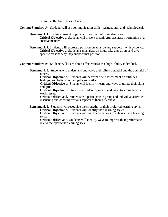person's effectiveness as a leader.

**Content Standard #4** Students will use communication skills: written, oral, and technological.

**Benchmark 1.** Students present original and commercial dramatizations. **Critical Objective a.** Students will present meaningful, accurate information in a creative manner.

**Benchmark 2.** Students will express a position on an issue and support it with evidence. **Critical Objective a.** Students can analyze an issue, take a position, and give specific reasons why they support that position.

**Content Standard #5** Students will learn about effectiveness as a high- ability individual.

**Benchmark 1.** Students will understand and valve their gifted potential and the potential of others.

**Critical Objective a.** Students will perform a self assessment on attitudes, feelings, and beliefs on their gifts and skills.

**Critical Objective b.** Stuents will identify means and ways to utilize their skills and gifts.

**Critical Objective c.** Students will identify means and ways to strengthen their weaknesses.

**Critical Objective d.** Students will participate in group and individual activities discusiing and debating various aspects of their giftedness.

**Benchmark 2.** Students will recognize the strengths of their preferred learning style.

**Critical Objective a.** Students will identify their learning styles.

**Critical Objective b**. Students will practice behaivors to enhance their learning style.

**Critical Objective c**. Students will identify ways to improve their performance due to their particular learning style.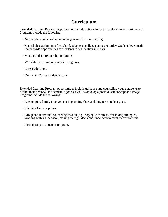## **Curriculum**

Extended Learning Program opportunities include options for both acceleration and enrichment. Programs include the following:

- Acceleration and enrichment in the general classroom setting.
- Special classes (pull in, after school, advanced, college courses,Saturday, Student developed) that provide opportunities for students to pursue their interests.
- Mentor and apprenticeship programs.
- Work/study, community service programs.
- Career education.
- Online & Correspondence study

Extended Learning Program opportunities include guidance and counseling young students to further their personal and academic goals as well as develop a positive self concept and image. Programs include the following:

- Encouraging family involvement in planning short and long term student goals.
- Planning Career options.
- Group and individual counseling session (e.g., coping with stress, test-taking strategies, working with a supervisor, making the right decisions, underachievement, perfectionism).
- Participating in a mentor program.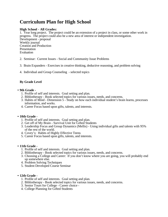## **Curriculum Plan for High School**

#### **High School - All Grades:**

1. Year long project. The project could be an extension of a project in class, or some other work in progress. The project could also be a new area of interest or independent investigation. Development - proposal Weekly journal Creation and Production Presentation Evaluation

- 2. Seminar: Current Issues Social and Community Issue Problems
- 3. Brain Expanders Exercises in creative thinking, deductive reasoning, and problem solving
- 4. Individual and Group Counseling selected topics

#### **By Grade Level**

#### **• 9th Grade -**

- 1. Profile of self and interests. Goal setting and plan.
- 2. Bibliotherapy Book selected topics for various issues, needs, and concerns.
- 3. Habits of Mind Dimension 5 Study on how each individual student's brain learns, processes information, and works.
- 4. Career Focus based upon gifts, talents, and interests.

#### **• 10th Grade -**

- 1. Profile of self and interests. Goal setting and plan.
- 2. Get off of My Brain Survival Unit for Gifted Students
- 3. Leadership Focus and Group Dynamics (Mellis) Using individual gifts and talents with 95% of the rest of the world.
- 4. Covey's: Habits of Highly Effective Teens
- 5. Career Focus based upon gifts, talents, and interests.

#### **• 11th Grade -**

- 1. Profile of self and interests. Goal setting and plan.
- 2. Bibliotherapy Book selected topics for various issues, needs, and concerns.
- 3. Choosing a College and Career: If you don't know where you are going, you will probably end up somewhere else.
- 4. Problem Solving Techniques
- 5. Student Developed Course Seminar

#### **• 12th Grade -**

- 1. Profile of self and interests. Goal setting and plan.
- 2. Bibliotherapy Book selected topics for various issues, needs, and concerns.
- 3. Senior Tours for College Career choice -
- 4. College Planning for Gifted Students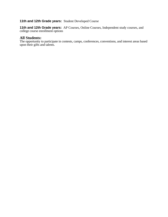### **11th and 12th Grade years:** Student Developed Course

**11th and 12th Grade years:** AP Courses, Online Courses, Independent study courses, and college course enrollment options

#### **All Students:**

The opportunity to participate in contests, camps, conferences, conventions, and interest areas based upon their gifts and talents.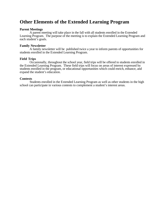## **Other Elements of the Extended Learning Program**

#### **Parent Meetings**

A parent meeting will take place in the fall with all students enrolled in the Extended Learning Program. The purpose of the meeting is to explain the Extended Learning Program and each student's goals.

#### **Family Newsletter**

A family newsletter will be published twice a year to inform parents of opportunities for students enrolled in the Extended Learning Program.

#### **Field Trips**

Occasionally, throughout the school year, field trips will be offered to students enrolled in the Extended Learning Program. These field trips will focus on areas of interest expressed by students enrolled in the program, or educational opportunities which could enrich, enhance, and expand the student's education.

#### **Contests**

Students enrolled in the Extended Learning Program as well as other students in the high school can participate in various contests to complement a student's interest areas.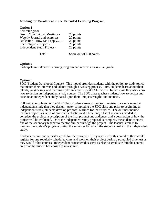#### **Grading for Enrollment in the Extended Learning Program**

| <b>Option 1</b>                    |                         |
|------------------------------------|-------------------------|
| Semester grade                     |                         |
| Group & Individual Meetings -      | 20 points               |
| Weekly Journal and exercises -     | 20 points               |
| Reflection - How can I apply -     | 20 points               |
| Focus Topic - Project -            | 20 points               |
| <b>Independent Study Project -</b> | 20 points               |
| Total -                            | Score out of 100 points |

#### **Option 2**

Participate in Extended Learning Program and receive a Pass - Fail grade

#### **Option 3**

SDC (Student Developed Course). This model provides students with the option to study topics that match their interests and talents through a two step process. First, students learn about their talents, weaknesses, and learning styles in a one semester SDC class. In that class they also learn how to design an independent study course. The SDC class teaches students how to design and execute an independent study based upon their unique strengths and interests.

Following completion of the SDC class, students are encourages to register for a one semester independent study that they design. After completing the SDC class and prior to beginning an independent study, students develop proposal outlines for their studies. The outlines include learning objectives, a list of proposed activities and a time line, a list of resources needed to complete the project, a description of the final product and audience, and a description of how the project will be evaluated. Once the independent study proposal is complete, the student contacts one of the secondary teacher to mentor him/her through the project. The teacher's role is to monitor the student's progress during the semester for which the student enrolls in the independent study.

Students receive one semester credit for their projects. They register for this credit as they would register for any regularly scheduled class and work on their project during a scheduled time just as they would other courses. Independent project credits serve as elective credits within the content area that the student has chosen to investigate.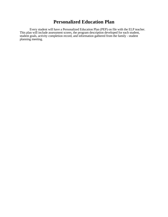## **Personalized Education Plan**

Every student will have a Personalized Education Plan (PEP) on file with the ELP teacher. This plan will include assessment scores, the program description developed for each student, student goals, activity completion record, and information gathered from the family - student planning meeting.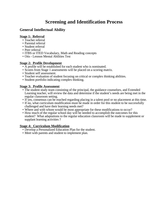## **General Intellectual Ability**

#### **Stage 1: Referral**

- Teacher referral
- Parental referral
- Student referral
- Peer referral
- ITBS or ITED Vocabulary, Math and Reading concepts
- Otis Lennon Mental Abilities Test

#### **Stage 2: Profile Development**

- A profile will be established for each student who is nominated.
- Scores from Stage 1 assessments will be placed on a scoring matrix.
- Student self assessment.
- Teacher evaluation of student focusing on critical or complex thinking abilities.
- Student portfolio indicating complex thinking.

#### **Stage 3: Profile Assessment**

- The student study team consisting of the principal, the guidance counselors, and Extended Learning teacher, will review the data and determine if the student's needs are being met in the regular classroom setting.
- If yes, consensus can be reached regarding placing in a talent pool or no placement at this time.
- If no, what curriculum modification must be made in order for this student to be successfully challenged and have their learning needs met?
- Where and with whom would be most appropriate for these modifications to occur?
- How much of the regular school day will be needed to accomplish the outcomes for this student? What adaptations to the regular education classroom will be made to supplement or supplant learning activities ?

- Develop a Personalized Education Plan for the student.
- Meet with parents and student to implement plan.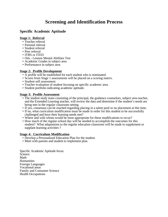## **Specific Academic Aptitude**

#### **Stage 1: Referral**

- Teacher referral
- Parental referral
- Student referral
- Peer referral
- ITBS or ITED
- Otis Lennon Mental Abilities Test
- Academic Grades in subject area
- Performance in subject area

#### **Stage 2: Profile Development**

- A profile will be established for each student who is nominated.
- Scores from Stage 1 assessments will be placed on a scoring matrix.
- Student self assessment.
- Teacher evaluation of student focusing on specific academic area.
- Student portfolio indicating academic aptitude.

#### **Stage 3: Profile Assessment**

- The student study team consisting of the principal, the guidance counselors, subject area teacher, and the Extended Learning teacher, will review the data and determine if the student's needs are being met in the regular classroom setting.
- If yes, consensus can be reached regarding placing in a talent pool or no placement at this time.
- If no, what curriculum modification must be made in order for this student to be successfully challenged and have their learning needs met?
- Where and with whom would be most appropriate for these modifications to occur?
- How much of the regular school day will be needed to accomplish the outcomes for this student? What adaptations to the regular education classroom will be made to supplement or supplant learning activities ?

#### **Stage 4: Curriculum Modification**

- Develop a Personalized Education Plan for the student.
- Meet with parents and student to implement plan.

Specific Academic Aptitude focus: **Science** Math **Humanities** Foreign Languages Vocational areas Family and Consumer Science Health Occupations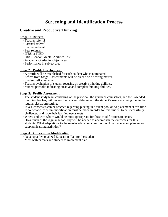## **Creative and Productive Thinking**

#### **Stage 1: Referral**

- Teacher referral
- Parental referral
- Student referral
- Peer referral
- ITBS or ITED
- Otis Lennon Mental Abilities Test
- Academic Grades in subject area
- Performance in subject area

#### **Stage 2: Profile Development**

- A profile will be established for each student who is nominated.
- Scores from Stage 1 assessments will be placed on a scoring matrix.
- Student self assessment.
- Teacher evaluation of student focusing on creative thinking abilities.
- Student portfolio indicating creative and complex thinking abilities.

#### **Stage 3: Profile Assessment**

- The student study team consisting of the principal, the guidance counselors, and the Extended Learning teacher, will review the data and determine if the student's needs are being met in the regular classroom setting.
- If yes, consensus can be reached regarding placing in a talent pool or no placement at this time.
- If no, what curriculum modification must be made in order for this student to be successfully challenged and have their learning needs met?
- Where and with whom would be most appropriate for these modifications to occur?
- How much of the regular school day will be needed to accomplish the outcomes for this student? What adaptations to the regular education classroom will be made to supplement or supplant learning activities ?

- Develop a Personalized Education Plan for the student.
- Meet with parents and student to implement plan.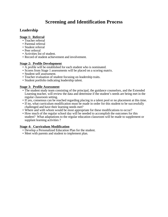## **Leadership**

#### **Stage 1: Referral**

- Teacher referral
- Parental referral
- Student referral
- Peer referral
- Activities list of student.
- Record of student achievement and involvement.

#### **Stage 2: Profile Development**

- A profile will be established for each student who is nominated.
- Scores from Stage 1 assessments will be placed on a scoring matrix.
- Student self assessment.
- Teacher evaluation of student focusing on leadership traits.
- Student portfolio indicating leadership talent.

#### **Stage 3: Profile Assessment**

- The student study team consisting of the principal, the guidance counselors, and the Extended Learning teacher, will review the data and determine if the student's needs are being met in the regular classroom setting.
- If yes, consensus can be reached regarding placing in a talent pool or no placement at this time.
- If no, what curriculum modification must be made in order for this student to be successfully challenged and have their learning needs met?
- Where and with whom would be most appropriate for these modifications to occur?
- How much of the regular school day will be needed to accomplish the outcomes for this student? What adaptations to the regular education classroom will be made to supplement or supplant learning activities ?

- Develop a Personalized Education Plan for the student.
- Meet with parents and student to implement plan.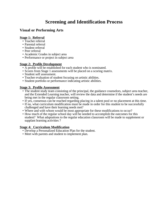## **Visual or Performing Arts**

#### **Stage 1: Referral**

- Teacher referral
- Parental referral
- Student referral
- Peer referral
- Academic Grades in subject area
- Performance or project in subject area

#### **Stage 2: Profile Development**

- A profile will be established for each student who is nominated.
- Scores from Stage 1 assessments will be placed on a scoring matrix.
- Student self assessment.
- Teacher evaluation of student focusing on artistic abilities.
- Student portfolio or performance indicating artistic abilities.

#### **Stage 3: Profile Assessment**

- The student study team consisting of the principal, the guidance counselors, subject area teacher, and the Extended Learning teacher, will review the data and determine if the student's needs are being met in the regular classroom setting.
- If yes, consensus can be reached regarding placing in a talent pool or no placement at this time.
- If no, what curriculum modification must be made in order for this student to be successfully challenged and have their learning needs met?
- Where and with whom would be most appropriate for these modifications to occur?
- How much of the regular school day will be needed to accomplish the outcomes for this student? What adaptations to the regular education classroom will be made to supplement or supplant learning activities ?

- Develop a Personalized Education Plan for the student.
- Meet with parents and student to implement plan.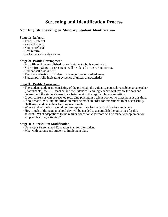## **Non English Speaking or Minority Student Identification**

#### **Stage 1: Referral**

- Teacher referral
- Parental referral
- Student referral
- Peer referral
- Performance in subject area

#### **Stage 2: Profile Development**

- A profile will be established for each student who is nominated.
- Scores from Stage 1 assessments will be placed on a scoring matrix.
- Student self assessment.
- Teacher evaluation of student focusing on various gifted areas.
- Student portfolio indicating evidence of gifted characteristics.

#### **Stage 3: Profile Assessment**

- The student study team consisting of the principal, the guidance counselors, subject area teacher (if applicable), the ESL teacher, and the Extended Learning teacher, will review the data and determine if the student's needs are being met in the regular classroom setting.
- If yes, consensus can be reached regarding placing in a talent pool or no placement at this time.
- If no, what curriculum modification must be made in order for this student to be successfully challenged and have their learning needs met?
- Where and with whom would be most appropriate for these modifications to occur?
- How much of the regular school day will be needed to accomplish the outcomes for this student? What adaptations to the regular education classroom will be made to supplement or supplant learning activities ?

- Develop a Personalized Education Plan for the student.
- Meet with parents and student to implement plan.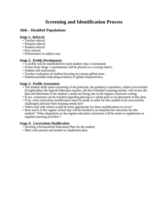## **Able - Disabled Populations**

#### **Stage 1: Referral**

- Teacher referral
- Parental referral
- Student referral
- Peer referral
- Performance in subject area

#### **Stage 2: Profile Development**

- A profile will be established for each student who is nominated.
- Scores from Stage 1 assessments will be placed on a scoring matrix.
- Student self assessment.
- Teacher evaluation of student focusing on various gifted areas.
- Student portfolio indicating evidence of gifted characteristics.

#### **Stage 3: Profile Assessment**

- The student study team consisting of the principal, the guidance counselors, subject area teacher (if applicable), the Special Education teacher, and the Extended Learning teacher, will review the data and determine if the student's needs are being met in the regular classroom setting.
- If yes, consensus can be reached regarding placing in a talent pool or no placement at this time.
- If no, what curriculum modification must be made in order for this student to be successfully challenged and have their learning needs met?
- Where and with whom would be most appropriate for these modifications to occur?
- How much of the regular school day will be needed to accomplish the outcomes for this student? What adaptations to the regular education classroom will be made to supplement or supplant learning activities ?

- Develop a Personalized Education Plan for the student.
- Meet with parents and student to implement plan.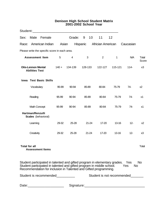#### **Denison High School Student Matrix 2001-2002 School Year**

| Student:                                           |                                                       |                                               |         |                                                                                                                                                                                                                            |           |                   |           |                            |                |
|----------------------------------------------------|-------------------------------------------------------|-----------------------------------------------|---------|----------------------------------------------------------------------------------------------------------------------------------------------------------------------------------------------------------------------------|-----------|-------------------|-----------|----------------------------|----------------|
| Sex:                                               | Male                                                  | Female                                        |         | Grade:                                                                                                                                                                                                                     | 9<br>10   | 11                | 12        |                            |                |
| Race:                                              | American Indian<br>Asian                              |                                               |         |                                                                                                                                                                                                                            | Hispanic  | Africian American |           | Caucasian                  |                |
|                                                    |                                                       | Please write the specific score in each area. |         |                                                                                                                                                                                                                            |           |                   |           |                            |                |
| <b>Assessment Item</b>                             |                                                       |                                               | 5       | 4                                                                                                                                                                                                                          | 3         | $\overline{2}$    | 1         | N/A                        | Total<br>Score |
| <b>Otis-Lennon Mental</b><br><b>Abilities Test</b> |                                                       | $140 +$                                       | 134-139 | 128-133                                                                                                                                                                                                                    | 122-127   | 115-121           | $114 -$   | x3                         |                |
| Iowa                                               |                                                       | <b>Test Basic Skills</b>                      |         |                                                                                                                                                                                                                            |           |                   |           |                            |                |
|                                                    | Vocabulary                                            |                                               | 95-99   | 90-94                                                                                                                                                                                                                      | 85-89     | 80-84             | 75-79     | 74-                        | х2             |
|                                                    | Reading                                               |                                               | 95-99   | 90-94                                                                                                                                                                                                                      | 85-89     | 80-84             | 75-79     | 74-                        | x1             |
|                                                    | Math Concept                                          |                                               | 95-99   | 90-94                                                                                                                                                                                                                      | 85-89     | 80-84             | 75-79     | $74-$                      | x1             |
|                                                    | <b>Hartman/Renzulli</b><br><b>Scales</b> (behavioral) |                                               |         |                                                                                                                                                                                                                            |           |                   |           |                            |                |
|                                                    | Learning                                              |                                               | 29-32   | 25-28                                                                                                                                                                                                                      | $21 - 24$ | 17-20             | 13-16     | $12 -$                     | x2             |
|                                                    | Creativity                                            |                                               | 29-32   | 25-28                                                                                                                                                                                                                      | $21 - 24$ | 17-20             | $13 - 16$ | $12 -$                     | x3             |
| <b>Total for all</b>                               | <b>Assessment Items</b>                               |                                               |         |                                                                                                                                                                                                                            |           |                   |           |                            | Total          |
|                                                    |                                                       |                                               |         | Student participated in talented and gifted program in elementary grades. Yes<br>Student participated in talented and gifted program in middle school.<br>Recommendation for inclusion in Talented and Gifted programming. |           |                   |           | <b>No</b><br>Yes           | <b>No</b>      |
| Student is recommended___________                  |                                                       |                                               |         |                                                                                                                                                                                                                            |           |                   |           | Student is not recommended |                |
| Date: _________________________                    |                                                       |                                               |         |                                                                                                                                                                                                                            |           |                   |           |                            |                |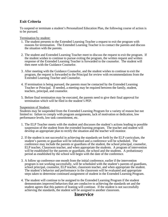## **Exit Criteria**

To suspend or terminate a student's Personalized Education Plan, the following course of action is to be pursued.

Termination by student:

- 1. The student presents to the Extended Learning Teacher a request to exit the program with reasons for termination. The Extended Learning Teacher is to contact the parents and discuss the situation with the parents.
- 2. The student and Extended Learning Teacher meet to discuss the request to exit the program. If the student wishes to continue to pursue exiting the program, the written request and written response of the Extended Learning Teacher is forwarded to the counselor. The student will then meet with the Guidance Counselor.
- 3. After meeting with the Guidance Counselor, and the student wishes to continue to exit the program, the request is forwarded to the Principal for review with recommendations from the Extended Learning Teacher and Counselor.
- 4. If termination is being pursued, the parents must be contacted by the Extended Learning Teacher or Principal. If needed, a meeting may be required between the family, student, teachers, principal, and counselor.
- 5. Before final termination may be executed, the parents need to give their final approval for termination which will be filed in the student's PEP.

#### Suspension of Student:

Students may be suspended from the Extended Learning Program for a variety of reason but not limited to: failure to comply with program assignments, lack of motivation or dedication, low performance levels, low task commitment, etc.

- 1. The ELP Teacher meets with the student and discusses the student's actions leading to possible suspension of the student from the extended learning program. The teacher and student will develop an appropriate plan to rectify the situation and the teacher will monitor.
- 2. If the student is not successful in achieving the standards set forth by the ELP curriculum, the student's parents or guardian will be informed and a conference will be scheduled. The conference may include the parents or guardians of the student, the school principal, counselor, ELP teacher, Classroom teacher, and when appropriate the students. A program of intervention will be established for the parents or guardians, the school and the students. A probationary period as established by the school will begin with the date of the conference.
- 3. A follow up conference one month from the initial conference, earlier if the intervention program is not working successfully, will be scheduled with the student's parents of guardians, school principal, counselor, ELP teacher, classroom teacher, and when appropriate the student. The student's behavior and performance in the classroom will be evaluated and appropriate steps taken to determine continued assignment of student in the Extended Learning Program.
- 4. The student will continue to be assigned to the Extended Learning Program if the student demonstrates improved behaviors that are conducive to achieving the standards set and the student agrees that this pattern of leaning will continue. If the student is not successfully achieving the standards, the student will be assigned to another classroom.

## **Inservice**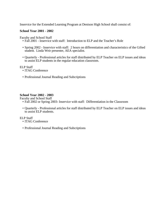Inservice for the Extended Learning Program at Denison High School shall consist of:

#### **School Year 2001 - 2002**

Faculty and School Staff

- Fall 2001 Inservice with staff: Introduction to ELP and the Teacher's Role
- Spring 2002 Inservice with staff: 2 hours on differentiation and characteristics of the Gifted student. Linda Weir presenter, AEA specialist.
- Quarterly Professional articles for staff distributed by ELP Teacher on ELP issues and ideas to assist ELP students in the regular education classroom.

ELP Staff

- ITAG Conference
- Professional Journal Reading and Subcriptions

#### **School Year 2002 - 2003**

Faculty and School Staff

- Fall 2002 or Spring 2003- Inservice with staff: Differentiation in the Classroom
- Quarterly Professional articles for staff distributed by ELP Teacher on ELP issues and ideas to assist ELP students.

ELP Staff

- ITAG Conference
- Professional Journal Reading and Subcriptions